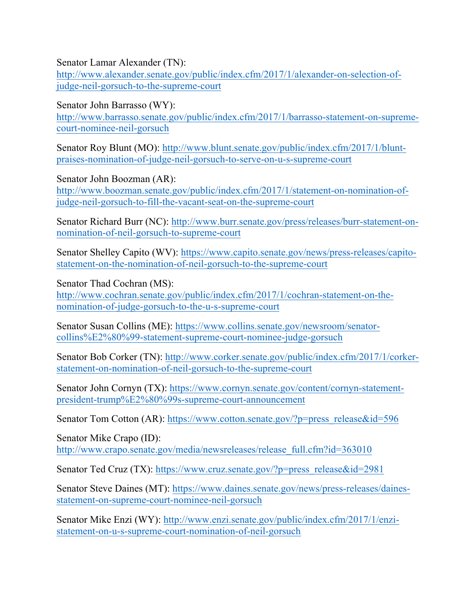Senator Lamar Alexander (TN):

http://www.alexander.senate.gov/public/index.cfm/2017/1/alexander-on-selection-ofjudge-neil-gorsuch-to-the-supreme-court

Senator John Barrasso (WY):

http://www.barrasso.senate.gov/public/index.cfm/2017/1/barrasso-statement-on-supremecourt-nominee-neil-gorsuch

Senator Roy Blunt (MO): http://www.blunt.senate.gov/public/index.cfm/2017/1/bluntpraises-nomination-of-judge-neil-gorsuch-to-serve-on-u-s-supreme-court

Senator John Boozman (AR): http://www.boozman.senate.gov/public/index.cfm/2017/1/statement-on-nomination-ofjudge-neil-gorsuch-to-fill-the-vacant-seat-on-the-supreme-court

Senator Richard Burr (NC): http://www.burr.senate.gov/press/releases/burr-statement-onnomination-of-neil-gorsuch-to-supreme-court

Senator Shelley Capito (WV): https://www.capito.senate.gov/news/press-releases/capitostatement-on-the-nomination-of-neil-gorsuch-to-the-supreme-court

Senator Thad Cochran (MS):

http://www.cochran.senate.gov/public/index.cfm/2017/1/cochran-statement-on-thenomination-of-judge-gorsuch-to-the-u-s-supreme-court

Senator Susan Collins (ME): https://www.collins.senate.gov/newsroom/senatorcollins%E2%80%99-statement-supreme-court-nominee-judge-gorsuch

Senator Bob Corker (TN): http://www.corker.senate.gov/public/index.cfm/2017/1/corkerstatement-on-nomination-of-neil-gorsuch-to-the-supreme-court

Senator John Cornyn (TX): https://www.cornyn.senate.gov/content/cornyn-statementpresident-trump%E2%80%99s-supreme-court-announcement

Senator Tom Cotton (AR): https://www.cotton.senate.gov/?p=press\_release&id=596

Senator Mike Crapo (ID): http://www.crapo.senate.gov/media/newsreleases/release\_full.cfm?id=363010

Senator Ted Cruz (TX): https://www.cruz.senate.gov/?p=press\_release&id=2981

Senator Steve Daines (MT): https://www.daines.senate.gov/news/press-releases/dainesstatement-on-supreme-court-nominee-neil-gorsuch

Senator Mike Enzi (WY): http://www.enzi.senate.gov/public/index.cfm/2017/1/enzistatement-on-u-s-supreme-court-nomination-of-neil-gorsuch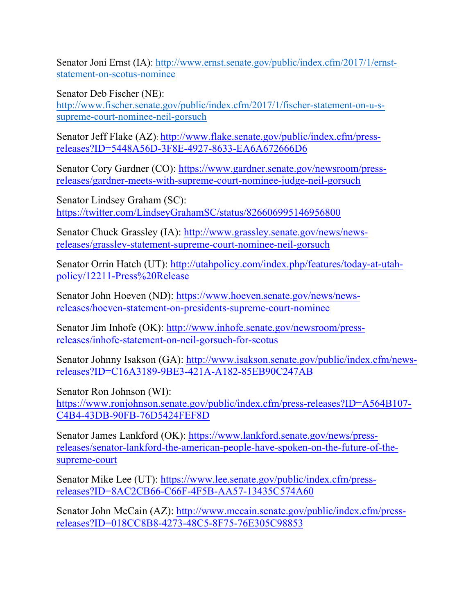Senator Joni Ernst (IA): http://www.ernst.senate.gov/public/index.cfm/2017/1/ernststatement-on-scotus-nominee

Senator Deb Fischer (NE): http://www.fischer.senate.gov/public/index.cfm/2017/1/fischer-statement-on-u-ssupreme-court-nominee-neil-gorsuch

Senator Jeff Flake (AZ): http://www.flake.senate.gov/public/index.cfm/pressreleases?ID=5448A56D-3F8E-4927-8633-EA6A672666D6

Senator Cory Gardner (CO): https://www.gardner.senate.gov/newsroom/pressreleases/gardner-meets-with-supreme-court-nominee-judge-neil-gorsuch

Senator Lindsey Graham (SC): https://twitter.com/LindseyGrahamSC/status/826606995146956800

Senator Chuck Grassley (IA): http://www.grassley.senate.gov/news/newsreleases/grassley-statement-supreme-court-nominee-neil-gorsuch

Senator Orrin Hatch (UT): http://utahpolicy.com/index.php/features/today-at-utahpolicy/12211-Press%20Release

Senator John Hoeven (ND): https://www.hoeven.senate.gov/news/newsreleases/hoeven-statement-on-presidents-supreme-court-nominee

Senator Jim Inhofe (OK): http://www.inhofe.senate.gov/newsroom/pressreleases/inhofe-statement-on-neil-gorsuch-for-scotus

Senator Johnny Isakson (GA): http://www.isakson.senate.gov/public/index.cfm/newsreleases?ID=C16A3189-9BE3-421A-A182-85EB90C247AB

Senator Ron Johnson (WI): https://www.ronjohnson.senate.gov/public/index.cfm/press-releases?ID=A564B107- C4B4-43DB-90FB-76D5424FEF8D

Senator James Lankford (OK): https://www.lankford.senate.gov/news/pressreleases/senator-lankford-the-american-people-have-spoken-on-the-future-of-thesupreme-court

Senator Mike Lee (UT): https://www.lee.senate.gov/public/index.cfm/pressreleases?ID=8AC2CB66-C66F-4F5B-AA57-13435C574A60

Senator John McCain (AZ): http://www.mccain.senate.gov/public/index.cfm/pressreleases?ID=018CC8B8-4273-48C5-8F75-76E305C98853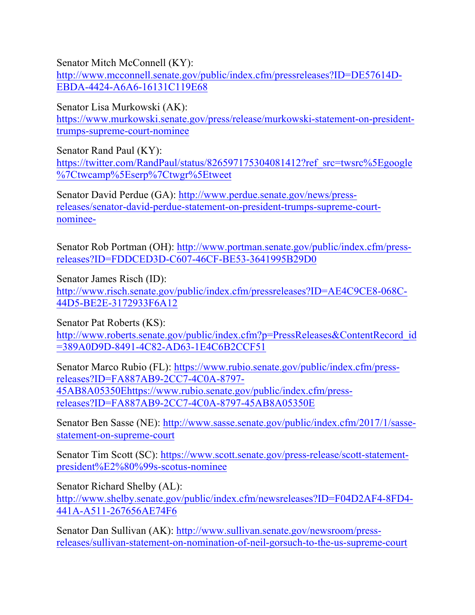Senator Mitch McConnell (KY):

http://www.mcconnell.senate.gov/public/index.cfm/pressreleases?ID=DE57614D-EBDA-4424-A6A6-16131C119E68

Senator Lisa Murkowski (AK):

https://www.murkowski.senate.gov/press/release/murkowski-statement-on-presidenttrumps-supreme-court-nominee

Senator Rand Paul (KY): https://twitter.com/RandPaul/status/826597175304081412?ref\_src=twsrc%5Egoogle %7Ctwcamp%5Eserp%7Ctwgr%5Etweet

Senator David Perdue (GA): http://www.perdue.senate.gov/news/pressreleases/senator-david-perdue-statement-on-president-trumps-supreme-courtnominee-

Senator Rob Portman (OH): http://www.portman.senate.gov/public/index.cfm/pressreleases?ID=FDDCED3D-C607-46CF-BE53-3641995B29D0

Senator James Risch (ID): http://www.risch.senate.gov/public/index.cfm/pressreleases?ID=AE4C9CE8-068C-44D5-BE2E-3172933F6A12

Senator Pat Roberts (KS): http://www.roberts.senate.gov/public/index.cfm?p=PressReleases&ContentRecord\_id =389A0D9D-8491-4C82-AD63-1E4C6B2CCF51

Senator Marco Rubio (FL): https://www.rubio.senate.gov/public/index.cfm/pressreleases?ID=FA887AB9-2CC7-4C0A-8797- 45AB8A05350Ehttps://www.rubio.senate.gov/public/index.cfm/pressreleases?ID=FA887AB9-2CC7-4C0A-8797-45AB8A05350E

Senator Ben Sasse (NE): http://www.sasse.senate.gov/public/index.cfm/2017/1/sassestatement-on-supreme-court

Senator Tim Scott (SC): https://www.scott.senate.gov/press-release/scott-statementpresident%E2%80%99s-scotus-nominee

Senator Richard Shelby (AL): http://www.shelby.senate.gov/public/index.cfm/newsreleases?ID=F04D2AF4-8FD4- 441A-A511-267656AE74F6

Senator Dan Sullivan (AK): http://www.sullivan.senate.gov/newsroom/pressreleases/sullivan-statement-on-nomination-of-neil-gorsuch-to-the-us-supreme-court